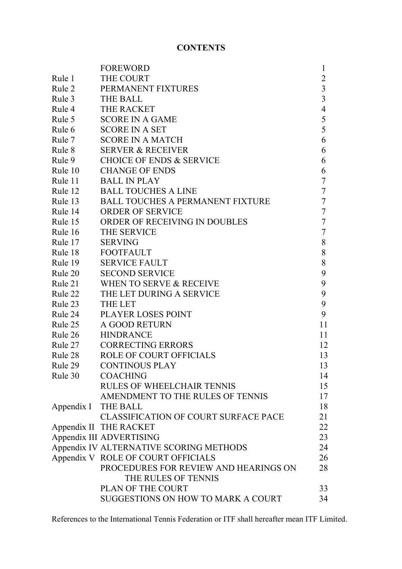# **CONTENTS**

|                     | <b>FOREWORD</b>                             | 1              |  |  |  |
|---------------------|---------------------------------------------|----------------|--|--|--|
| Rule 1              | THE COURT                                   | $\overline{2}$ |  |  |  |
| Rule 2              | PERMANENT FIXTURES                          | $\overline{3}$ |  |  |  |
| Rule 3              | <b>THE BALL</b>                             | $\overline{3}$ |  |  |  |
| Rule 4              | <b>THE RACKET</b>                           | $\overline{4}$ |  |  |  |
| Rule 5              | <b>SCORE IN A GAME</b>                      | 5              |  |  |  |
| Rule 6              | <b>SCORE IN A SET</b>                       | 5              |  |  |  |
| Rule 7              | <b>SCORE IN A MATCH</b>                     | 6              |  |  |  |
| Rule 8              | <b>SERVER &amp; RECEIVER</b>                | 6              |  |  |  |
| Rule 9              | <b>CHOICE OF ENDS &amp; SERVICE</b>         |                |  |  |  |
| Rule 10             | <b>CHANGE OF ENDS</b>                       |                |  |  |  |
| Rule 11             | <b>BALL IN PLAY</b>                         |                |  |  |  |
| Rule 12             | <b>BALL TOUCHES A LINE</b>                  | $\tau$         |  |  |  |
| Rule 13             | <b>BALL TOUCHES A PERMANENT FIXTURE</b>     | $\tau$         |  |  |  |
| Rule 14             | <b>ORDER OF SERVICE</b>                     | $\tau$         |  |  |  |
| Rule 15             | ORDER OF RECEIVING IN DOUBLES               | 7              |  |  |  |
| Rule 16             | <b>THE SERVICE</b>                          | 7              |  |  |  |
| Rule 17             | <b>SERVING</b>                              | 8              |  |  |  |
| Rule 18             | <b>FOOTFAULT</b>                            | 8              |  |  |  |
| Rule 19             | <b>SERVICE FAULT</b>                        | $8\,$          |  |  |  |
| Rule 20             | <b>SECOND SERVICE</b>                       | 9              |  |  |  |
| Rule 21             | WHEN TO SERVE & RECEIVE                     | 9              |  |  |  |
| Rule 22             | THE LET DURING A SERVICE                    | 9              |  |  |  |
| Rule 23             | THE LET                                     | 9              |  |  |  |
| Rule 24             | <b>PLAYER LOSES POINT</b>                   | 9              |  |  |  |
| Rule 25             | A GOOD RETURN                               | 11             |  |  |  |
| Rule 26             | <b>HINDRANCE</b>                            | 11             |  |  |  |
| Rule 27             | <b>CORRECTING ERRORS</b>                    | 12             |  |  |  |
| Rule 28             | <b>ROLE OF COURT OFFICIALS</b>              | 13             |  |  |  |
| Rule 29             | <b>CONTINOUS PLAY</b>                       | 13             |  |  |  |
| Rule 30             | <b>COACHING</b>                             | 14             |  |  |  |
|                     | <b>RULES OF WHEELCHAIR TENNIS</b>           | 15             |  |  |  |
|                     | AMENDMENT TO THE RULES OF TENNIS            | 17             |  |  |  |
| Appendix I THE BALL |                                             | 18             |  |  |  |
|                     | <b>CLASSIFICATION OF COURT SURFACE PACE</b> | 21             |  |  |  |
|                     | Appendix II THE RACKET                      | 22             |  |  |  |
|                     | Appendix III ADVERTISING                    | 23             |  |  |  |
|                     | Appendix IV ALTERNATIVE SCORING METHODS     | 24             |  |  |  |
|                     | Appendix V ROLE OF COURT OFFICIALS          | 26             |  |  |  |
|                     | PROCEDURES FOR REVIEW AND HEARINGS ON       | 28             |  |  |  |
|                     | THE RULES OF TENNIS                         |                |  |  |  |
|                     | PLAN OF THE COURT                           | 33             |  |  |  |
|                     | SUGGESTIONS ON HOW TO MARK A COURT          | 34             |  |  |  |

References to the International Tennis Federation or ITF shall hereafter mean ITF Limited.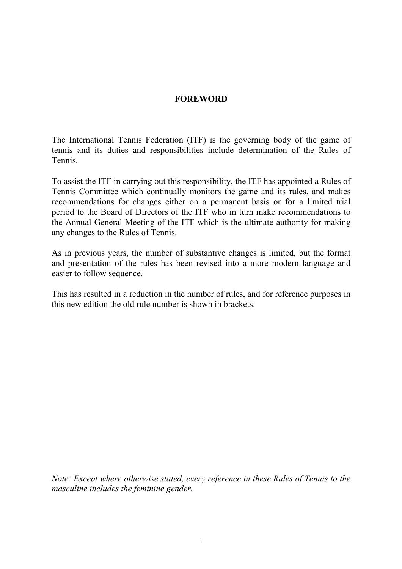#### **FOREWORD**

The International Tennis Federation (ITF) is the governing body of the game of tennis and its duties and responsibilities include determination of the Rules of Tennis.

To assist the ITF in carrying out this responsibility, the ITF has appointed a Rules of Tennis Committee which continually monitors the game and its rules, and makes recommendations for changes either on a permanent basis or for a limited trial period to the Board of Directors of the ITF who in turn make recommendations to the Annual General Meeting of the ITF which is the ultimate authority for making any changes to the Rules of Tennis.

As in previous years, the number of substantive changes is limited, but the format and presentation of the rules has been revised into a more modern language and easier to follow sequence.

This has resulted in a reduction in the number of rules, and for reference purposes in this new edition the old rule number is shown in brackets.

*Note: Except where otherwise stated, every reference in these Rules of Tennis to the masculine includes the feminine gender.*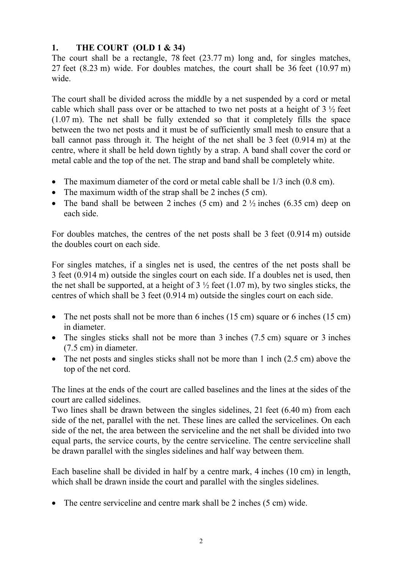## **1. THE COURT (OLD 1 & 34)**

The court shall be a rectangle, 78 feet (23.77 m) long and, for singles matches, 27 feet (8.23 m) wide. For doubles matches, the court shall be 36 feet (10.97 m) wide.

The court shall be divided across the middle by a net suspended by a cord or metal cable which shall pass over or be attached to two net posts at a height of  $3\frac{1}{2}$  feet (1.07 m). The net shall be fully extended so that it completely fills the space between the two net posts and it must be of sufficiently small mesh to ensure that a ball cannot pass through it. The height of the net shall be 3 feet (0.914 m) at the centre, where it shall be held down tightly by a strap. A band shall cover the cord or metal cable and the top of the net. The strap and band shall be completely white.

- The maximum diameter of the cord or metal cable shall be  $1/3$  inch (0.8 cm).
- The maximum width of the strap shall be 2 inches (5 cm).
- The band shall be between 2 inches (5 cm) and  $2\frac{1}{2}$  inches (6.35 cm) deep on each side.

For doubles matches, the centres of the net posts shall be 3 feet (0.914 m) outside the doubles court on each side.

For singles matches, if a singles net is used, the centres of the net posts shall be 3 feet (0.914 m) outside the singles court on each side. If a doubles net is used, then the net shall be supported, at a height of  $3\frac{1}{2}$  feet (1.07 m), by two singles sticks, the centres of which shall be 3 feet (0.914 m) outside the singles court on each side.

- The net posts shall not be more than 6 inches (15 cm) square or 6 inches (15 cm) in diameter.
- The singles sticks shall not be more than 3 inches (7.5 cm) square or 3 inches (7.5 cm) in diameter.
- The net posts and singles sticks shall not be more than 1 inch (2.5 cm) above the top of the net cord.

The lines at the ends of the court are called baselines and the lines at the sides of the court are called sidelines.

Two lines shall be drawn between the singles sidelines, 21 feet (6.40 m) from each side of the net, parallel with the net. These lines are called the servicelines. On each side of the net, the area between the serviceline and the net shall be divided into two equal parts, the service courts, by the centre serviceline. The centre serviceline shall be drawn parallel with the singles sidelines and half way between them.

Each baseline shall be divided in half by a centre mark, 4 inches (10 cm) in length, which shall be drawn inside the court and parallel with the singles sidelines.

• The centre serviceline and centre mark shall be 2 inches (5 cm) wide.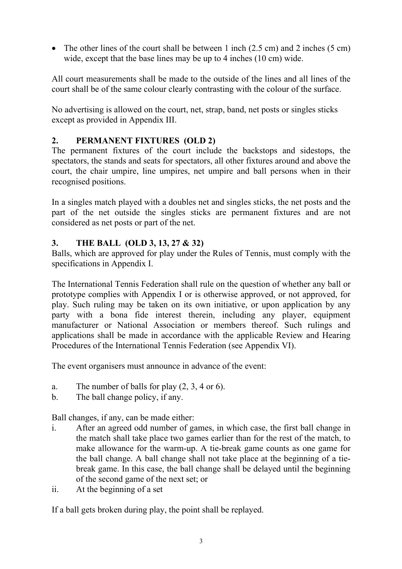• The other lines of the court shall be between 1 inch (2.5 cm) and 2 inches (5 cm) wide, except that the base lines may be up to 4 inches (10 cm) wide.

All court measurements shall be made to the outside of the lines and all lines of the court shall be of the same colour clearly contrasting with the colour of the surface.

No advertising is allowed on the court, net, strap, band, net posts or singles sticks except as provided in Appendix III.

# **2. PERMANENT FIXTURES (OLD 2)**

The permanent fixtures of the court include the backstops and sidestops, the spectators, the stands and seats for spectators, all other fixtures around and above the court, the chair umpire, line umpires, net umpire and ball persons when in their recognised positions.

In a singles match played with a doubles net and singles sticks, the net posts and the part of the net outside the singles sticks are permanent fixtures and are not considered as net posts or part of the net.

# **3. THE BALL (OLD 3, 13, 27 & 32)**

Balls, which are approved for play under the Rules of Tennis, must comply with the specifications in Appendix I.

The International Tennis Federation shall rule on the question of whether any ball or prototype complies with Appendix I or is otherwise approved, or not approved, for play. Such ruling may be taken on its own initiative, or upon application by any party with a bona fide interest therein, including any player, equipment manufacturer or National Association or members thereof. Such rulings and applications shall be made in accordance with the applicable Review and Hearing Procedures of the International Tennis Federation (see Appendix VI).

The event organisers must announce in advance of the event:

- a. The number of balls for play  $(2, 3, 4 \text{ or } 6)$ .
- b. The ball change policy, if any.

Ball changes, if any, can be made either:

- i. After an agreed odd number of games, in which case, the first ball change in the match shall take place two games earlier than for the rest of the match, to make allowance for the warm-up. A tie-break game counts as one game for the ball change. A ball change shall not take place at the beginning of a tiebreak game. In this case, the ball change shall be delayed until the beginning of the second game of the next set; or
- ii. At the beginning of a set

If a ball gets broken during play, the point shall be replayed.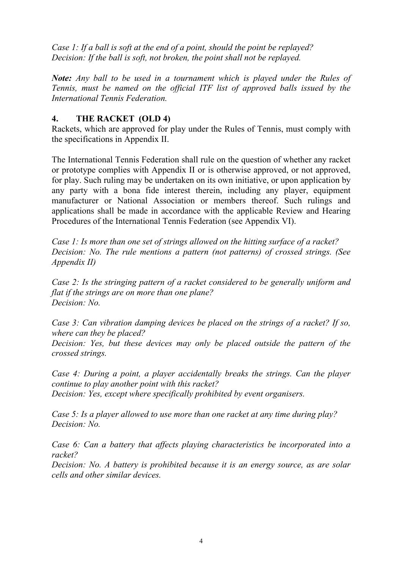*Case 1: If a ball is soft at the end of a point, should the point be replayed? Decision: If the ball is soft, not broken, the point shall not be replayed.* 

*Note: Any ball to be used in a tournament which is played under the Rules of Tennis, must be named on the official ITF list of approved balls issued by the International Tennis Federation.* 

### **4. THE RACKET (OLD 4)**

Rackets, which are approved for play under the Rules of Tennis, must comply with the specifications in Appendix II.

The International Tennis Federation shall rule on the question of whether any racket or prototype complies with Appendix II or is otherwise approved, or not approved, for play. Such ruling may be undertaken on its own initiative, or upon application by any party with a bona fide interest therein, including any player, equipment manufacturer or National Association or members thereof. Such rulings and applications shall be made in accordance with the applicable Review and Hearing Procedures of the International Tennis Federation (see Appendix VI).

*Case 1: Is more than one set of strings allowed on the hitting surface of a racket? Decision: No. The rule mentions a pattern (not patterns) of crossed strings. (See Appendix II)*

*Case 2: Is the stringing pattern of a racket considered to be generally uniform and flat if the strings are on more than one plane? Decision: No.* 

*Case 3: Can vibration damping devices be placed on the strings of a racket? If so, where can they be placed?* 

*Decision: Yes, but these devices may only be placed outside the pattern of the crossed strings.* 

*Case 4: During a point, a player accidentally breaks the strings. Can the player continue to play another point with this racket? Decision: Yes, except where specifically prohibited by event organisers.* 

*Case 5: Is a player allowed to use more than one racket at any time during play? Decision: No.* 

*Case 6: Can a battery that affects playing characteristics be incorporated into a racket?* 

*Decision: No. A battery is prohibited because it is an energy source, as are solar cells and other similar devices.*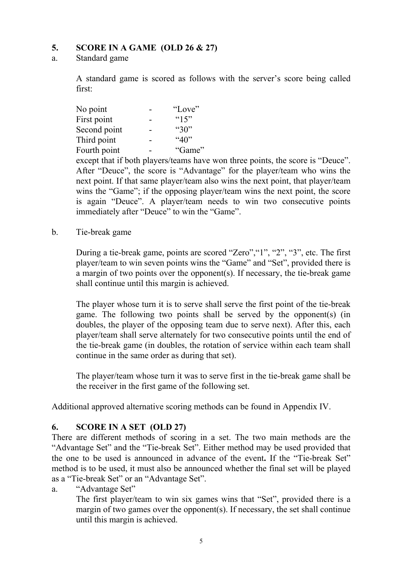### **5. SCORE IN A GAME (OLD 26 & 27)**

a. Standard game

A standard game is scored as follows with the server's score being called first:

|                                                                                 | No point     |  | "Love"                                                                   |  |  |
|---------------------------------------------------------------------------------|--------------|--|--------------------------------------------------------------------------|--|--|
|                                                                                 | First point  |  | $^{64}15"$                                                               |  |  |
|                                                                                 | Second point |  | " $30"$                                                                  |  |  |
|                                                                                 | Third point  |  | 40                                                                       |  |  |
|                                                                                 | Fourth point |  | "Game"                                                                   |  |  |
| except that if both players/teams have won three points, the score is "Deuce".  |              |  |                                                                          |  |  |
|                                                                                 |              |  | After "Deuce", the score is "Advantage" for the player/team who wins the |  |  |
| next point. If that same player/team also wins the next point, that player/team |              |  |                                                                          |  |  |
| wins the "Game"; if the opposing player/team wins the next point, the score     |              |  |                                                                          |  |  |
| is again "Deuce". A player/team needs to win two consecutive points             |              |  |                                                                          |  |  |
|                                                                                 |              |  | immediately after "Deuce" to win the "Game".                             |  |  |
|                                                                                 |              |  |                                                                          |  |  |

b. Tie-break game

During a tie-break game, points are scored "Zero","1", "2", "3", etc. The first player/team to win seven points wins the "Game" and "Set", provided there is a margin of two points over the opponent(s). If necessary, the tie-break game shall continue until this margin is achieved.

The player whose turn it is to serve shall serve the first point of the tie-break game. The following two points shall be served by the opponent(s) (in doubles, the player of the opposing team due to serve next). After this, each player/team shall serve alternately for two consecutive points until the end of the tie-break game (in doubles, the rotation of service within each team shall continue in the same order as during that set).

The player/team whose turn it was to serve first in the tie-break game shall be the receiver in the first game of the following set.

Additional approved alternative scoring methods can be found in Appendix IV.

# **6. SCORE IN A SET (OLD 27)**

There are different methods of scoring in a set. The two main methods are the "Advantage Set" and the "Tie-break Set". Either method may be used provided that the one to be used is announced in advance of the event**.** If the "Tie-break Set" method is to be used, it must also be announced whether the final set will be played as a "Tie-break Set" or an "Advantage Set".

a. "Advantage Set"

The first player/team to win six games wins that "Set", provided there is a margin of two games over the opponent(s). If necessary, the set shall continue until this margin is achieved.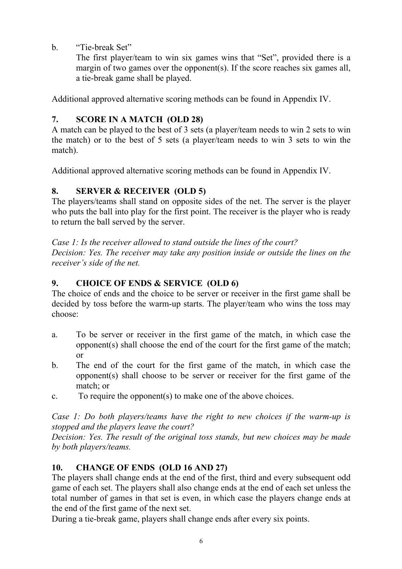b. "Tie-break Set"

The first player/team to win six games wins that "Set", provided there is a margin of two games over the opponent(s). If the score reaches six games all, a tie-break game shall be played.

Additional approved alternative scoring methods can be found in Appendix IV.

# **7. SCORE IN A MATCH (OLD 28)**

A match can be played to the best of 3 sets (a player/team needs to win 2 sets to win the match) or to the best of 5 sets (a player/team needs to win 3 sets to win the match).

Additional approved alternative scoring methods can be found in Appendix IV.

# **8. SERVER & RECEIVER (OLD 5)**

The players/teams shall stand on opposite sides of the net. The server is the player who puts the ball into play for the first point. The receiver is the player who is ready to return the ball served by the server.

*Case 1: Is the receiver allowed to stand outside the lines of the court?* 

*Decision: Yes. The receiver may take any position inside or outside the lines on the receiver's side of the net.* 

# **9. CHOICE OF ENDS & SERVICE (OLD 6)**

The choice of ends and the choice to be server or receiver in the first game shall be decided by toss before the warm-up starts. The player/team who wins the toss may choose:

- a. To be server or receiver in the first game of the match, in which case the opponent(s) shall choose the end of the court for the first game of the match; or
- b. The end of the court for the first game of the match, in which case the opponent(s) shall choose to be server or receiver for the first game of the match; or
- c. To require the opponent(s) to make one of the above choices.

*Case 1: Do both players/teams have the right to new choices if the warm-up is stopped and the players leave the court?* 

*Decision: Yes. The result of the original toss stands, but new choices may be made by both players/teams.* 

# **10. CHANGE OF ENDS (OLD 16 AND 27)**

The players shall change ends at the end of the first, third and every subsequent odd game of each set. The players shall also change ends at the end of each set unless the total number of games in that set is even, in which case the players change ends at the end of the first game of the next set.

During a tie-break game, players shall change ends after every six points.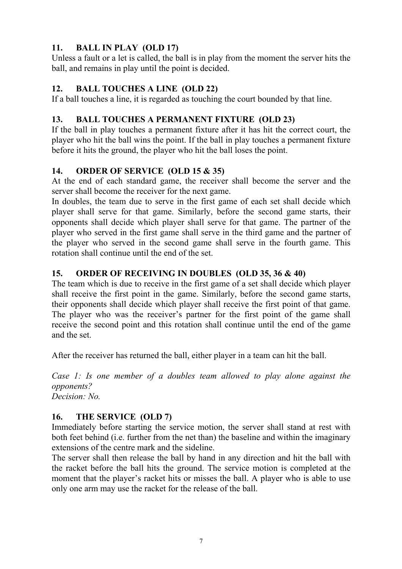# **11. BALL IN PLAY (OLD 17)**

Unless a fault or a let is called, the ball is in play from the moment the server hits the ball, and remains in play until the point is decided.

# **12. BALL TOUCHES A LINE (OLD 22)**

If a ball touches a line, it is regarded as touching the court bounded by that line.

# **13. BALL TOUCHES A PERMANENT FIXTURE (OLD 23)**

If the ball in play touches a permanent fixture after it has hit the correct court, the player who hit the ball wins the point. If the ball in play touches a permanent fixture before it hits the ground, the player who hit the ball loses the point.

# **14. ORDER OF SERVICE (OLD 15 & 35)**

At the end of each standard game, the receiver shall become the server and the server shall become the receiver for the next game.

In doubles, the team due to serve in the first game of each set shall decide which player shall serve for that game. Similarly, before the second game starts, their opponents shall decide which player shall serve for that game. The partner of the player who served in the first game shall serve in the third game and the partner of the player who served in the second game shall serve in the fourth game. This rotation shall continue until the end of the set.

# **15. ORDER OF RECEIVING IN DOUBLES (OLD 35, 36 & 40)**

The team which is due to receive in the first game of a set shall decide which player shall receive the first point in the game. Similarly, before the second game starts, their opponents shall decide which player shall receive the first point of that game. The player who was the receiver's partner for the first point of the game shall receive the second point and this rotation shall continue until the end of the game and the set.

After the receiver has returned the ball, either player in a team can hit the ball.

*Case 1: Is one member of a doubles team allowed to play alone against the opponents? Decision: No.* 

# **16. THE SERVICE (OLD 7)**

Immediately before starting the service motion, the server shall stand at rest with both feet behind (i.e. further from the net than) the baseline and within the imaginary extensions of the centre mark and the sideline.

The server shall then release the ball by hand in any direction and hit the ball with the racket before the ball hits the ground. The service motion is completed at the moment that the player's racket hits or misses the ball. A player who is able to use only one arm may use the racket for the release of the ball.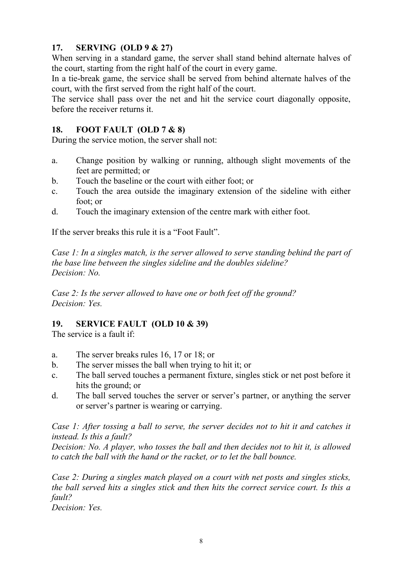# **17. SERVING (OLD 9 & 27)**

When serving in a standard game, the server shall stand behind alternate halves of the court, starting from the right half of the court in every game.

In a tie-break game, the service shall be served from behind alternate halves of the court, with the first served from the right half of the court.

The service shall pass over the net and hit the service court diagonally opposite, before the receiver returns it.

## **18. FOOT FAULT (OLD 7 & 8)**

During the service motion, the server shall not:

- a. Change position by walking or running, although slight movements of the feet are permitted; or
- b. Touch the baseline or the court with either foot; or
- c. Touch the area outside the imaginary extension of the sideline with either foot; or
- d. Touch the imaginary extension of the centre mark with either foot.

If the server breaks this rule it is a "Foot Fault".

*Case 1: In a singles match, is the server allowed to serve standing behind the part of the base line between the singles sideline and the doubles sideline? Decision: No.* 

*Case 2: Is the server allowed to have one or both feet off the ground? Decision: Yes.* 

# **19. SERVICE FAULT (OLD 10 & 39)**

The service is a fault if:

- a. The server breaks rules 16, 17 or 18; or
- b. The server misses the ball when trying to hit it; or
- c. The ball served touches a permanent fixture, singles stick or net post before it hits the ground; or
- d. The ball served touches the server or server's partner, or anything the server or server's partner is wearing or carrying.

*Case 1: After tossing a ball to serve, the server decides not to hit it and catches it instead. Is this a fault?* 

*Decision: No. A player, who tosses the ball and then decides not to hit it, is allowed to catch the ball with the hand or the racket, or to let the ball bounce.* 

*Case 2: During a singles match played on a court with net posts and singles sticks, the ball served hits a singles stick and then hits the correct service court. Is this a fault?* 

*Decision: Yes.*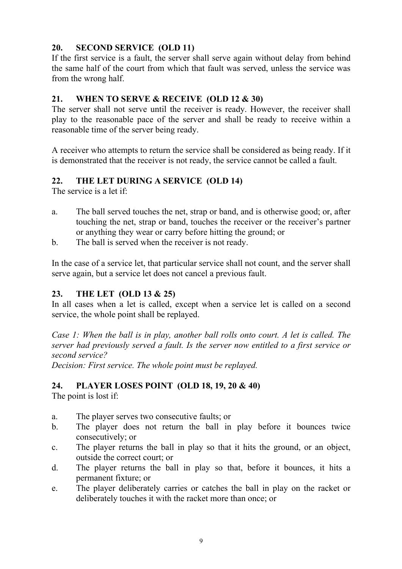# **20. SECOND SERVICE (OLD 11)**

If the first service is a fault, the server shall serve again without delay from behind the same half of the court from which that fault was served, unless the service was from the wrong half.

### **21. WHEN TO SERVE & RECEIVE (OLD 12 & 30)**

The server shall not serve until the receiver is ready. However, the receiver shall play to the reasonable pace of the server and shall be ready to receive within a reasonable time of the server being ready.

A receiver who attempts to return the service shall be considered as being ready. If it is demonstrated that the receiver is not ready, the service cannot be called a fault.

### **22. THE LET DURING A SERVICE (OLD 14)**

The service is a let if:

- a. The ball served touches the net, strap or band, and is otherwise good; or, after touching the net, strap or band, touches the receiver or the receiver's partner or anything they wear or carry before hitting the ground; or
- b. The ball is served when the receiver is not ready.

In the case of a service let, that particular service shall not count, and the server shall serve again, but a service let does not cancel a previous fault.

# **23. THE LET (OLD 13 & 25)**

In all cases when a let is called, except when a service let is called on a second service, the whole point shall be replayed.

*Case 1: When the ball is in play, another ball rolls onto court. A let is called. The server had previously served a fault. Is the server now entitled to a first service or second service?* 

*Decision: First service. The whole point must be replayed.* 

# **24. PLAYER LOSES POINT (OLD 18, 19, 20 & 40)**

The point is lost if:

- a. The player serves two consecutive faults; or
- b. The player does not return the ball in play before it bounces twice consecutively; or
- c. The player returns the ball in play so that it hits the ground, or an object, outside the correct court; or
- d. The player returns the ball in play so that, before it bounces, it hits a permanent fixture; or
- e. The player deliberately carries or catches the ball in play on the racket or deliberately touches it with the racket more than once; or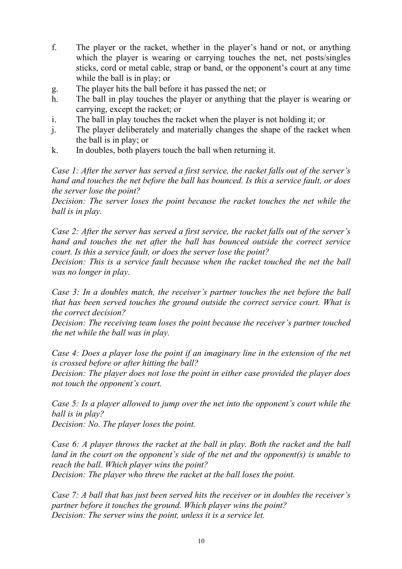- f. The player or the racket, whether in the player's hand or not, or anything which the player is wearing or carrying touches the net, net posts/singles sticks, cord or metal cable, strap or band, or the opponent's court at any time while the ball is in play; or
- g. The player hits the ball before it has passed the net; or
- h. The ball in play touches the player or anything that the player is wearing or carrying, except the racket; or
- i. The ball in play touches the racket when the player is not holding it; or
- j. The player deliberately and materially changes the shape of the racket when the ball is in play; or
- k. In doubles, both players touch the ball when returning it.

*Case 1: After the server has served a first service, the racket falls out of the server's hand and touches the net before the ball has bounced. Is this a service fault, or does the server lose the point?* 

*Decision: The server loses the point because the racket touches the net while the ball is in play.* 

*Case 2: After the server has served a first service, the racket falls out of the server's hand and touches the net after the ball has bounced outside the correct service court. Is this a service fault, or does the server lose the point?* 

*Decision: This is a service fault because when the racket touched the net the ball was no longer in play.* 

*Case 3: In a doubles match, the receiver's partner touches the net before the ball that has been served touches the ground outside the correct service court. What is the correct decision?* 

*Decision: The receiving team loses the point because the receiver's partner touched the net while the ball was in play.* 

*Case 4: Does a player lose the point if an imaginary line in the extension of the net is crossed before or after hitting the ball?* 

*Decision: The player does not lose the point in either case provided the player does not touch the opponent's court.* 

*Case 5: Is a player allowed to jump over the net into the opponent's court while the ball is in play?* 

*Decision: No. The player loses the point.* 

*Case 6: A player throws the racket at the ball in play. Both the racket and the ball land in the court on the opponent's side of the net and the opponent(s) is unable to reach the ball. Which player wins the point? Decision: The player who threw the racket at the ball loses the point.* 

*Case 7: A ball that has just been served hits the receiver or in doubles the receiver's partner before it touches the ground. Which player wins the point? Decision: The server wins the point, unless it is a service let.*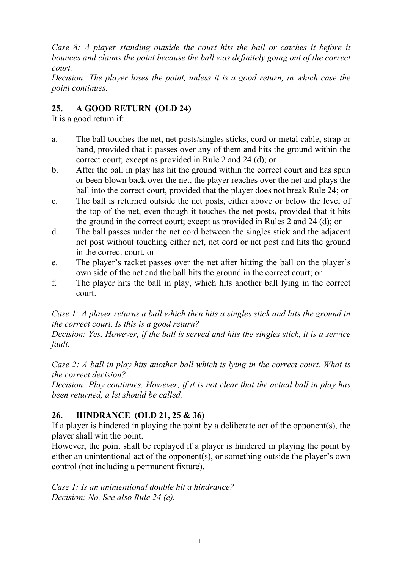*Case 8: A player standing outside the court hits the ball or catches it before it bounces and claims the point because the ball was definitely going out of the correct court.* 

*Decision: The player loses the point, unless it is a good return, in which case the point continues.* 

# **25. A GOOD RETURN (OLD 24)**

It is a good return if:

- a. The ball touches the net, net posts/singles sticks, cord or metal cable, strap or band, provided that it passes over any of them and hits the ground within the correct court; except as provided in Rule 2 and 24 (d); or
- b. After the ball in play has hit the ground within the correct court and has spun or been blown back over the net, the player reaches over the net and plays the ball into the correct court, provided that the player does not break Rule 24; or
- c. The ball is returned outside the net posts, either above or below the level of the top of the net, even though it touches the net posts**,** provided that it hits the ground in the correct court; except as provided in Rules 2 and 24 (d); or
- d. The ball passes under the net cord between the singles stick and the adjacent net post without touching either net, net cord or net post and hits the ground in the correct court, or
- e. The player's racket passes over the net after hitting the ball on the player's own side of the net and the ball hits the ground in the correct court; or
- f. The player hits the ball in play, which hits another ball lying in the correct court.

*Case 1: A player returns a ball which then hits a singles stick and hits the ground in the correct court. Is this is a good return?* 

*Decision: Yes. However, if the ball is served and hits the singles stick, it is a service fault.* 

*Case 2: A ball in play hits another ball which is lying in the correct court. What is the correct decision?* 

*Decision: Play continues. However, if it is not clear that the actual ball in play has been returned, a let should be called.* 

# **26. HINDRANCE (OLD 21, 25 & 36)**

If a player is hindered in playing the point by a deliberate act of the opponent(s), the player shall win the point.

However, the point shall be replayed if a player is hindered in playing the point by either an unintentional act of the opponent(s), or something outside the player's own control (not including a permanent fixture).

*Case 1: Is an unintentional double hit a hindrance? Decision: No. See also Rule 24 (e).*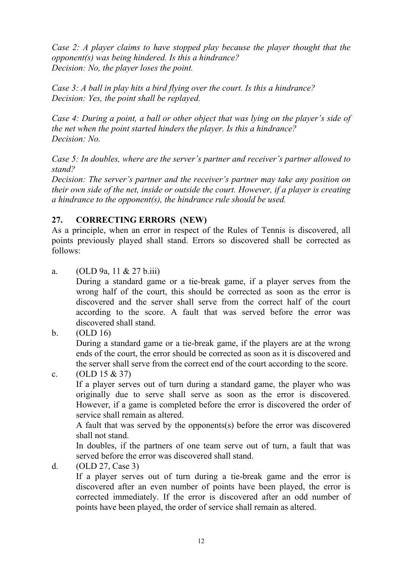*Case 2: A player claims to have stopped play because the player thought that the opponent(s) was being hindered. Is this a hindrance? Decision: No, the player loses the point.* 

*Case 3: A ball in play hits a bird flying over the court. Is this a hindrance? Decision: Yes, the point shall be replayed.* 

*Case 4: During a point, a ball or other object that was lying on the player's side of the net when the point started hinders the player. Is this a hindrance? Decision: No.* 

*Case 5: In doubles, where are the server's partner and receiver's partner allowed to stand?* 

*Decision: The server's partner and the receiver's partner may take any position on their own side of the net, inside or outside the court. However, if a player is creating a hindrance to the opponent(s), the hindrance rule should be used.* 

# **27. CORRECTING ERRORS (NEW)**

As a principle, when an error in respect of the Rules of Tennis is discovered, all points previously played shall stand. Errors so discovered shall be corrected as follows:

a. (OLD 9a, 11 & 27 b.iii)

During a standard game or a tie-break game, if a player serves from the wrong half of the court, this should be corrected as soon as the error is discovered and the server shall serve from the correct half of the court according to the score. A fault that was served before the error was discovered shall stand.

b.  $(OLD 16)$ 

During a standard game or a tie-break game, if the players are at the wrong ends of the court, the error should be corrected as soon as it is discovered and the server shall serve from the correct end of the court according to the score.

c.  $(OLD 15 & 37)$ 

If a player serves out of turn during a standard game, the player who was originally due to serve shall serve as soon as the error is discovered. However, if a game is completed before the error is discovered the order of service shall remain as altered.

A fault that was served by the opponents(s) before the error was discovered shall not stand.

In doubles, if the partners of one team serve out of turn, a fault that was served before the error was discovered shall stand.

d. (OLD 27, Case 3)

If a player serves out of turn during a tie-break game and the error is discovered after an even number of points have been played, the error is corrected immediately. If the error is discovered after an odd number of points have been played, the order of service shall remain as altered.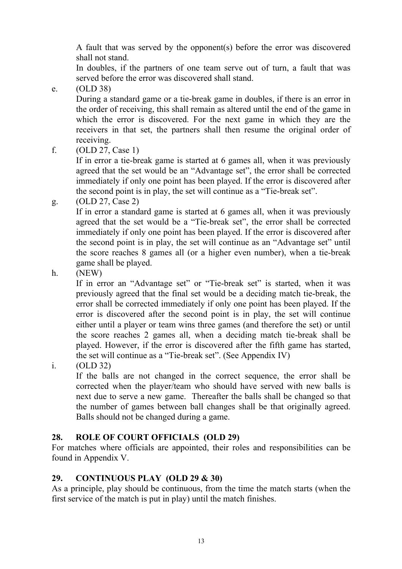A fault that was served by the opponent(s) before the error was discovered shall not stand.

In doubles, if the partners of one team serve out of turn, a fault that was served before the error was discovered shall stand.

e. (OLD 38)

During a standard game or a tie-break game in doubles, if there is an error in the order of receiving, this shall remain as altered until the end of the game in which the error is discovered. For the next game in which they are the receivers in that set, the partners shall then resume the original order of receiving.

f. (OLD 27, Case 1)

If in error a tie-break game is started at 6 games all, when it was previously agreed that the set would be an "Advantage set", the error shall be corrected immediately if only one point has been played. If the error is discovered after the second point is in play, the set will continue as a "Tie-break set".

g. (OLD 27, Case 2)

If in error a standard game is started at 6 games all, when it was previously agreed that the set would be a "Tie-break set", the error shall be corrected immediately if only one point has been played. If the error is discovered after the second point is in play, the set will continue as an "Advantage set" until the score reaches 8 games all (or a higher even number), when a tie-break game shall be played.

h. (NEW)

If in error an "Advantage set" or "Tie-break set" is started, when it was previously agreed that the final set would be a deciding match tie-break, the error shall be corrected immediately if only one point has been played. If the error is discovered after the second point is in play, the set will continue either until a player or team wins three games (and therefore the set) or until the score reaches 2 games all, when a deciding match tie-break shall be played. However, if the error is discovered after the fifth game has started, the set will continue as a "Tie-break set". (See Appendix IV)

i. (OLD 32)

If the balls are not changed in the correct sequence, the error shall be corrected when the player/team who should have served with new balls is next due to serve a new game. Thereafter the balls shall be changed so that the number of games between ball changes shall be that originally agreed. Balls should not be changed during a game.

# **28. ROLE OF COURT OFFICIALS (OLD 29)**

For matches where officials are appointed, their roles and responsibilities can be found in Appendix V.

# **29. CONTINUOUS PLAY (OLD 29 & 30)**

As a principle, play should be continuous, from the time the match starts (when the first service of the match is put in play) until the match finishes.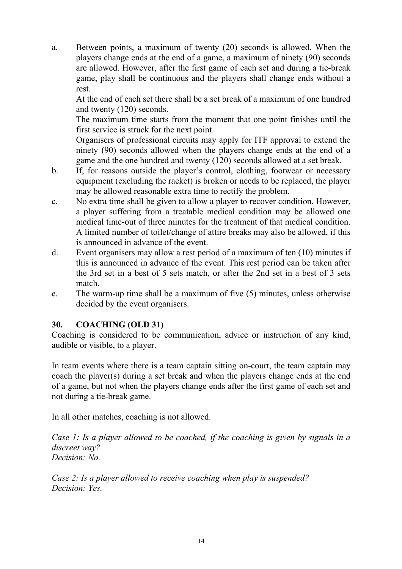a. Between points, a maximum of twenty (20) seconds is allowed. When the players change ends at the end of a game, a maximum of ninety (90) seconds are allowed. However, after the first game of each set and during a tie-break game, play shall be continuous and the players shall change ends without a rest.

At the end of each set there shall be a set break of a maximum of one hundred and twenty (120) seconds.

The maximum time starts from the moment that one point finishes until the first service is struck for the next point.

Organisers of professional circuits may apply for ITF approval to extend the ninety (90) seconds allowed when the players change ends at the end of a game and the one hundred and twenty (120) seconds allowed at a set break.

- b. If, for reasons outside the player's control, clothing, footwear or necessary equipment (excluding the racket) is broken or needs to be replaced, the player may be allowed reasonable extra time to rectify the problem.
- c. No extra time shall be given to allow a player to recover condition. However, a player suffering from a treatable medical condition may be allowed one medical time-out of three minutes for the treatment of that medical condition. A limited number of toilet/change of attire breaks may also be allowed, if this is announced in advance of the event.
- d. Event organisers may allow a rest period of a maximum of ten (10) minutes if this is announced in advance of the event. This rest period can be taken after the 3rd set in a best of 5 sets match, or after the 2nd set in a best of 3 sets match.
- e. The warm-up time shall be a maximum of five (5) minutes, unless otherwise decided by the event organisers.

# **30. COACHING (OLD 31)**

Coaching is considered to be communication, advice or instruction of any kind, audible or visible, to a player.

In team events where there is a team captain sitting on-court, the team captain may coach the player(s) during a set break and when the players change ends at the end of a game, but not when the players change ends after the first game of each set and not during a tie-break game.

In all other matches, coaching is not allowed.

*Case 1: Is a player allowed to be coached, if the coaching is given by signals in a discreet way? Decision: No.* 

*Case 2: Is a player allowed to receive coaching when play is suspended? Decision: Yes.*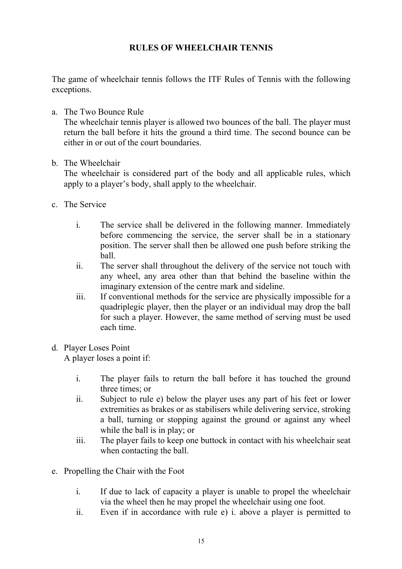# **RULES OF WHEELCHAIR TENNIS**

The game of wheelchair tennis follows the ITF Rules of Tennis with the following exceptions.

#### a. The Two Bounce Rule

The wheelchair tennis player is allowed two bounces of the ball. The player must return the ball before it hits the ground a third time. The second bounce can be either in or out of the court boundaries.

#### b. The Wheelchair

The wheelchair is considered part of the body and all applicable rules, which apply to a player's body, shall apply to the wheelchair.

- c. The Service
	- i. The service shall be delivered in the following manner. Immediately before commencing the service, the server shall be in a stationary position. The server shall then be allowed one push before striking the ball.
	- ii. The server shall throughout the delivery of the service not touch with any wheel, any area other than that behind the baseline within the imaginary extension of the centre mark and sideline.
	- iii. If conventional methods for the service are physically impossible for a quadriplegic player, then the player or an individual may drop the ball for such a player. However, the same method of serving must be used each time.
- d. Player Loses Point

A player loses a point if:

- i. The player fails to return the ball before it has touched the ground three times; or
- ii. Subject to rule e) below the player uses any part of his feet or lower extremities as brakes or as stabilisers while delivering service, stroking a ball, turning or stopping against the ground or against any wheel while the ball is in play; or
- iii. The player fails to keep one buttock in contact with his wheelchair seat when contacting the ball.
- e. Propelling the Chair with the Foot
	- i. If due to lack of capacity a player is unable to propel the wheelchair via the wheel then he may propel the wheelchair using one foot.
	- ii. Even if in accordance with rule e) i. above a player is permitted to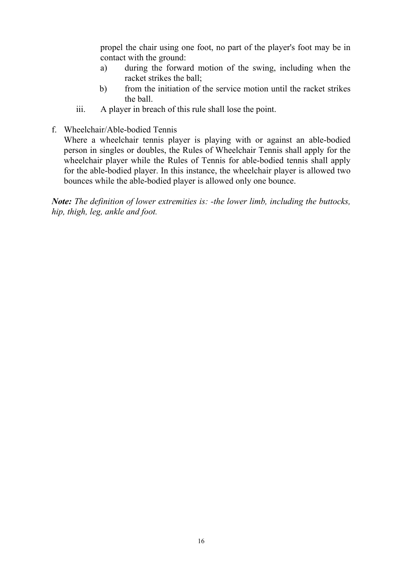propel the chair using one foot, no part of the player's foot may be in contact with the ground:

- a) during the forward motion of the swing, including when the racket strikes the ball;
- b) from the initiation of the service motion until the racket strikes the ball.
- iii. A player in breach of this rule shall lose the point.
- f. Wheelchair/Able-bodied Tennis

Where a wheelchair tennis player is playing with or against an able-bodied person in singles or doubles, the Rules of Wheelchair Tennis shall apply for the wheelchair player while the Rules of Tennis for able-bodied tennis shall apply for the able-bodied player. In this instance, the wheelchair player is allowed two bounces while the able-bodied player is allowed only one bounce.

*Note: The definition of lower extremities is: -the lower limb, including the buttocks, hip, thigh, leg, ankle and foot.*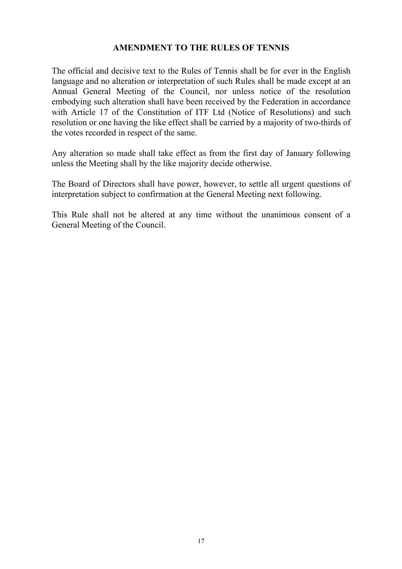#### **AMENDMENT TO THE RULES OF TENNIS**

The official and decisive text to the Rules of Tennis shall be for ever in the English language and no alteration or interpretation of such Rules shall be made except at an Annual General Meeting of the Council, nor unless notice of the resolution embodying such alteration shall have been received by the Federation in accordance with Article 17 of the Constitution of ITF Ltd (Notice of Resolutions) and such resolution or one having the like effect shall be carried by a majority of two-thirds of the votes recorded in respect of the same.

Any alteration so made shall take effect as from the first day of January following unless the Meeting shall by the like majority decide otherwise.

The Board of Directors shall have power, however, to settle all urgent questions of interpretation subject to confirmation at the General Meeting next following.

This Rule shall not be altered at any time without the unanimous consent of a General Meeting of the Council.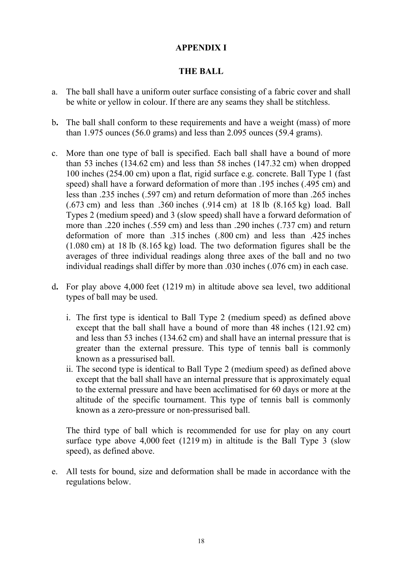## **APPENDIX I**

### **THE BALL**

- a. The ball shall have a uniform outer surface consisting of a fabric cover and shall be white or yellow in colour. If there are any seams they shall be stitchless.
- b**.** The ball shall conform to these requirements and have a weight (mass) of more than 1.975 ounces (56.0 grams) and less than 2.095 ounces (59.4 grams).
- c. More than one type of ball is specified. Each ball shall have a bound of more than 53 inches (134.62 cm) and less than 58 inches (147.32 cm) when dropped 100 inches (254.00 cm) upon a flat, rigid surface e.g. concrete. Ball Type 1 (fast speed) shall have a forward deformation of more than .195 inches (.495 cm) and less than .235 inches (.597 cm) and return deformation of more than .265 inches (.673 cm) and less than .360 inches (.914 cm) at 18 lb (8.165 kg) load. Ball Types 2 (medium speed) and 3 (slow speed) shall have a forward deformation of more than .220 inches (.559 cm) and less than .290 inches (.737 cm) and return deformation of more than .315 inches (.800 cm) and less than .425 inches (1.080 cm) at 18 lb (8.165 kg) load. The two deformation figures shall be the averages of three individual readings along three axes of the ball and no two individual readings shall differ by more than .030 inches (.076 cm) in each case.
- d**.** For play above 4,000 feet (1219 m) in altitude above sea level, two additional types of ball may be used.
	- i. The first type is identical to Ball Type 2 (medium speed) as defined above except that the ball shall have a bound of more than 48 inches (121.92 cm) and less than 53 inches (134.62 cm) and shall have an internal pressure that is greater than the external pressure. This type of tennis ball is commonly known as a pressurised ball.
	- ii. The second type is identical to Ball Type 2 (medium speed) as defined above except that the ball shall have an internal pressure that is approximately equal to the external pressure and have been acclimatised for 60 days or more at the altitude of the specific tournament. This type of tennis ball is commonly known as a zero-pressure or non-pressurised ball.

The third type of ball which is recommended for use for play on any court surface type above 4,000 feet (1219 m) in altitude is the Ball Type 3 (slow speed), as defined above.

e. All tests for bound, size and deformation shall be made in accordance with the regulations below.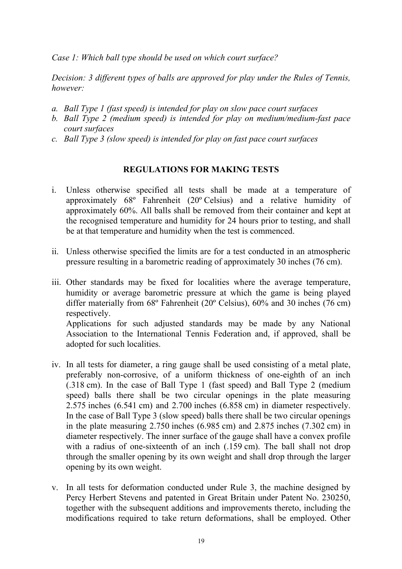*Case 1: Which ball type should be used on which court surface?* 

*Decision: 3 different types of balls are approved for play under the Rules of Tennis, however:* 

- *a. Ball Type 1 (fast speed) is intended for play on slow pace court surfaces*
- *b. Ball Type 2 (medium speed) is intended for play on medium/medium-fast pace court surfaces*
- *c. Ball Type 3 (slow speed) is intended for play on fast pace court surfaces*

#### **REGULATIONS FOR MAKING TESTS**

- i. Unless otherwise specified all tests shall be made at a temperature of approximately 68º Fahrenheit (20º Celsius) and a relative humidity of approximately 60%. All balls shall be removed from their container and kept at the recognised temperature and humidity for 24 hours prior to testing, and shall be at that temperature and humidity when the test is commenced.
- ii. Unless otherwise specified the limits are for a test conducted in an atmospheric pressure resulting in a barometric reading of approximately 30 inches (76 cm).
- iii. Other standards may be fixed for localities where the average temperature, humidity or average barometric pressure at which the game is being played differ materially from 68º Fahrenheit (20º Celsius), 60% and 30 inches (76 cm) respectively. Applications for such adjusted standards may be made by any National

Association to the International Tennis Federation and, if approved, shall be adopted for such localities.

- iv. In all tests for diameter, a ring gauge shall be used consisting of a metal plate, preferably non-corrosive, of a uniform thickness of one-eighth of an inch (.318 cm). In the case of Ball Type 1 (fast speed) and Ball Type 2 (medium speed) balls there shall be two circular openings in the plate measuring 2.575 inches (6.541 cm) and 2.700 inches (6.858 cm) in diameter respectively. In the case of Ball Type 3 (slow speed) balls there shall be two circular openings in the plate measuring 2.750 inches (6.985 cm) and 2.875 inches (7.302 cm) in diameter respectively. The inner surface of the gauge shall have a convex profile with a radius of one-sixteenth of an inch (.159 cm). The ball shall not drop through the smaller opening by its own weight and shall drop through the larger opening by its own weight.
- v. In all tests for deformation conducted under Rule 3, the machine designed by Percy Herbert Stevens and patented in Great Britain under Patent No. 230250, together with the subsequent additions and improvements thereto, including the modifications required to take return deformations, shall be employed. Other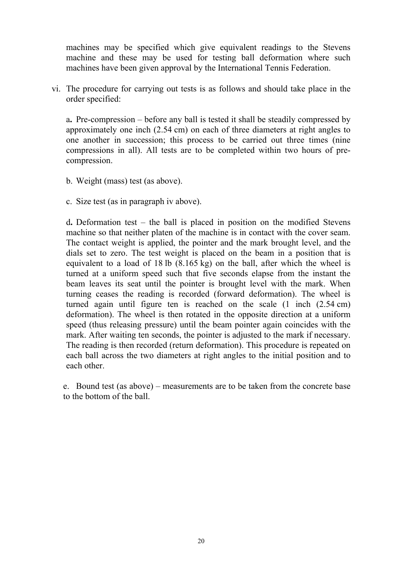machines may be specified which give equivalent readings to the Stevens machine and these may be used for testing ball deformation where such machines have been given approval by the International Tennis Federation.

vi. The procedure for carrying out tests is as follows and should take place in the order specified:

a**.** Pre-compression – before any ball is tested it shall be steadily compressed by approximately one inch (2.54 cm) on each of three diameters at right angles to one another in succession; this process to be carried out three times (nine compressions in all). All tests are to be completed within two hours of precompression.

- b. Weight (mass) test (as above).
- c. Size test (as in paragraph iv above).

d**.** Deformation test – the ball is placed in position on the modified Stevens machine so that neither platen of the machine is in contact with the cover seam. The contact weight is applied, the pointer and the mark brought level, and the dials set to zero. The test weight is placed on the beam in a position that is equivalent to a load of 18 lb (8.165 kg) on the ball, after which the wheel is turned at a uniform speed such that five seconds elapse from the instant the beam leaves its seat until the pointer is brought level with the mark. When turning ceases the reading is recorded (forward deformation). The wheel is turned again until figure ten is reached on the scale (1 inch (2.54 cm) deformation). The wheel is then rotated in the opposite direction at a uniform speed (thus releasing pressure) until the beam pointer again coincides with the mark. After waiting ten seconds, the pointer is adjusted to the mark if necessary. The reading is then recorded (return deformation). This procedure is repeated on each ball across the two diameters at right angles to the initial position and to each other.

e. Bound test (as above) – measurements are to be taken from the concrete base to the bottom of the ball.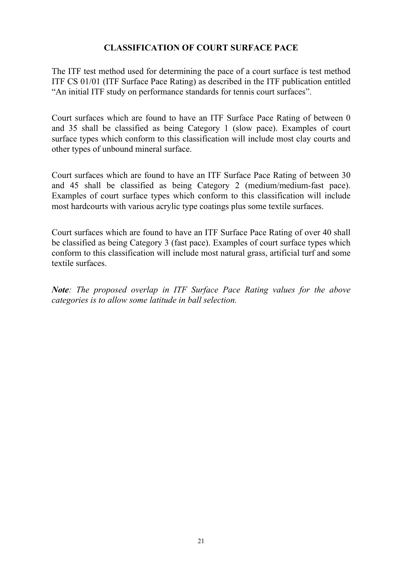### **CLASSIFICATION OF COURT SURFACE PACE**

The ITF test method used for determining the pace of a court surface is test method ITF CS 01/01 (ITF Surface Pace Rating) as described in the ITF publication entitled "An initial ITF study on performance standards for tennis court surfaces".

Court surfaces which are found to have an ITF Surface Pace Rating of between 0 and 35 shall be classified as being Category 1 (slow pace). Examples of court surface types which conform to this classification will include most clay courts and other types of unbound mineral surface.

Court surfaces which are found to have an ITF Surface Pace Rating of between 30 and 45 shall be classified as being Category 2 (medium/medium-fast pace). Examples of court surface types which conform to this classification will include most hardcourts with various acrylic type coatings plus some textile surfaces.

Court surfaces which are found to have an ITF Surface Pace Rating of over 40 shall be classified as being Category 3 (fast pace). Examples of court surface types which conform to this classification will include most natural grass, artificial turf and some textile surfaces.

*Note: The proposed overlap in ITF Surface Pace Rating values for the above categories is to allow some latitude in ball selection.*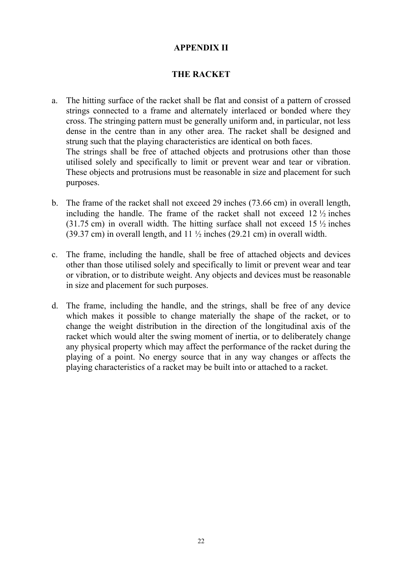#### **APPENDIX II**

### **THE RACKET**

- a. The hitting surface of the racket shall be flat and consist of a pattern of crossed strings connected to a frame and alternately interlaced or bonded where they cross. The stringing pattern must be generally uniform and, in particular, not less dense in the centre than in any other area. The racket shall be designed and strung such that the playing characteristics are identical on both faces. The strings shall be free of attached objects and protrusions other than those utilised solely and specifically to limit or prevent wear and tear or vibration. These objects and protrusions must be reasonable in size and placement for such purposes.
- b. The frame of the racket shall not exceed 29 inches (73.66 cm) in overall length, including the handle. The frame of the racket shall not exceed  $12\frac{1}{2}$  inches (31.75 cm) in overall width. The hitting surface shall not exceed 15  $\frac{1}{2}$  inches (39.37 cm) in overall length, and  $11\frac{1}{2}$  inches (29.21 cm) in overall width.
- c. The frame, including the handle, shall be free of attached objects and devices other than those utilised solely and specifically to limit or prevent wear and tear or vibration, or to distribute weight. Any objects and devices must be reasonable in size and placement for such purposes.
- d. The frame, including the handle, and the strings, shall be free of any device which makes it possible to change materially the shape of the racket, or to change the weight distribution in the direction of the longitudinal axis of the racket which would alter the swing moment of inertia, or to deliberately change any physical property which may affect the performance of the racket during the playing of a point. No energy source that in any way changes or affects the playing characteristics of a racket may be built into or attached to a racket.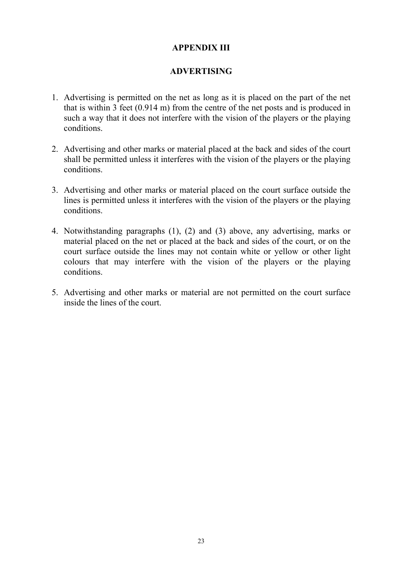#### **APPENDIX III**

### **ADVERTISING**

- 1. Advertising is permitted on the net as long as it is placed on the part of the net that is within 3 feet (0.914 m) from the centre of the net posts and is produced in such a way that it does not interfere with the vision of the players or the playing conditions.
- 2. Advertising and other marks or material placed at the back and sides of the court shall be permitted unless it interferes with the vision of the players or the playing conditions.
- 3. Advertising and other marks or material placed on the court surface outside the lines is permitted unless it interferes with the vision of the players or the playing conditions.
- 4. Notwithstanding paragraphs (1), (2) and (3) above, any advertising, marks or material placed on the net or placed at the back and sides of the court, or on the court surface outside the lines may not contain white or yellow or other light colours that may interfere with the vision of the players or the playing conditions.
- 5. Advertising and other marks or material are not permitted on the court surface inside the lines of the court.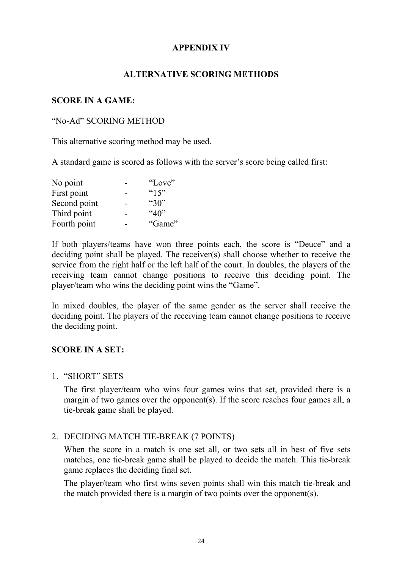#### **APPENDIX IV**

#### **ALTERNATIVE SCORING METHODS**

#### **SCORE IN A GAME:**

#### "No-Ad" SCORING METHOD

This alternative scoring method may be used.

A standard game is scored as follows with the server's score being called first:

| No point     | "Love"     |
|--------------|------------|
| First point  | $^{44}15"$ |
| Second point | ``30"      |
| Third point  | 40         |
| Fourth point | "Game"     |

If both players/teams have won three points each, the score is "Deuce" and a deciding point shall be played. The receiver(s) shall choose whether to receive the service from the right half or the left half of the court. In doubles, the players of the receiving team cannot change positions to receive this deciding point. The player/team who wins the deciding point wins the "Game".

In mixed doubles, the player of the same gender as the server shall receive the deciding point. The players of the receiving team cannot change positions to receive the deciding point.

#### **SCORE IN A SET:**

1. "SHORT" SETS

The first player/team who wins four games wins that set, provided there is a margin of two games over the opponent(s). If the score reaches four games all, a tie-break game shall be played.

#### 2. DECIDING MATCH TIE-BREAK (7 POINTS)

When the score in a match is one set all, or two sets all in best of five sets matches, one tie-break game shall be played to decide the match. This tie-break game replaces the deciding final set.

The player/team who first wins seven points shall win this match tie-break and the match provided there is a margin of two points over the opponent(s).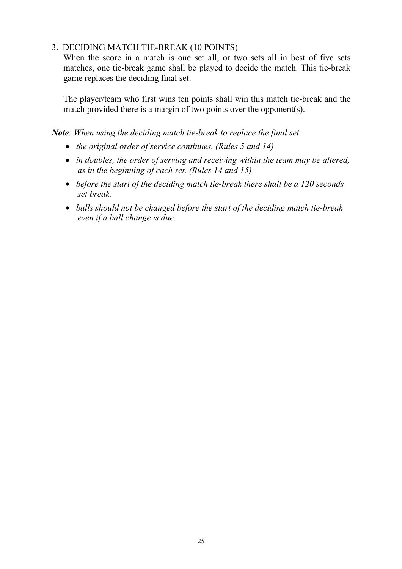## 3. DECIDING MATCH TIE-BREAK (10 POINTS)

When the score in a match is one set all, or two sets all in best of five sets matches, one tie-break game shall be played to decide the match. This tie-break game replaces the deciding final set.

The player/team who first wins ten points shall win this match tie-break and the match provided there is a margin of two points over the opponent(s).

*Note: When using the deciding match tie-break to replace the final set:* 

- *the original order of service continues. (Rules 5 and 14)*
- *in doubles, the order of serving and receiving within the team may be altered, as in the beginning of each set. (Rules 14 and 15)*
- *before the start of the deciding match tie-break there shall be a 120 seconds set break.*
- *balls should not be changed before the start of the deciding match tie-break even if a ball change is due.*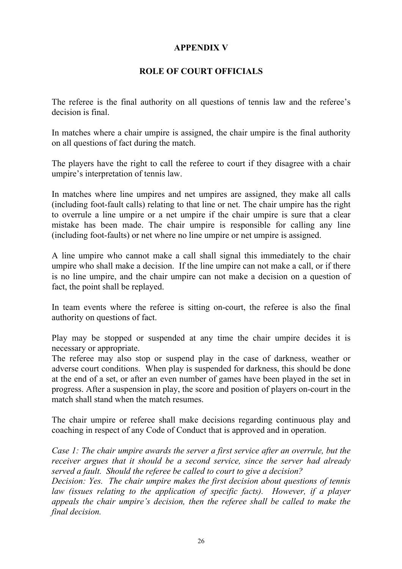### **APPENDIX V**

# **ROLE OF COURT OFFICIALS**

The referee is the final authority on all questions of tennis law and the referee's decision is final.

In matches where a chair umpire is assigned, the chair umpire is the final authority on all questions of fact during the match.

The players have the right to call the referee to court if they disagree with a chair umpire's interpretation of tennis law.

In matches where line umpires and net umpires are assigned, they make all calls (including foot-fault calls) relating to that line or net. The chair umpire has the right to overrule a line umpire or a net umpire if the chair umpire is sure that a clear mistake has been made. The chair umpire is responsible for calling any line (including foot-faults) or net where no line umpire or net umpire is assigned.

A line umpire who cannot make a call shall signal this immediately to the chair umpire who shall make a decision. If the line umpire can not make a call, or if there is no line umpire, and the chair umpire can not make a decision on a question of fact, the point shall be replayed.

In team events where the referee is sitting on-court, the referee is also the final authority on questions of fact.

Play may be stopped or suspended at any time the chair umpire decides it is necessary or appropriate.

The referee may also stop or suspend play in the case of darkness, weather or adverse court conditions. When play is suspended for darkness, this should be done at the end of a set, or after an even number of games have been played in the set in progress. After a suspension in play, the score and position of players on-court in the match shall stand when the match resumes.

The chair umpire or referee shall make decisions regarding continuous play and coaching in respect of any Code of Conduct that is approved and in operation.

*Case 1: The chair umpire awards the server a first service after an overrule, but the receiver argues that it should be a second service, since the server had already served a fault. Should the referee be called to court to give a decision?* 

*Decision: Yes. The chair umpire makes the first decision about questions of tennis*  law (issues relating to the application of specific facts). However, if a player *appeals the chair umpire's decision, then the referee shall be called to make the final decision.*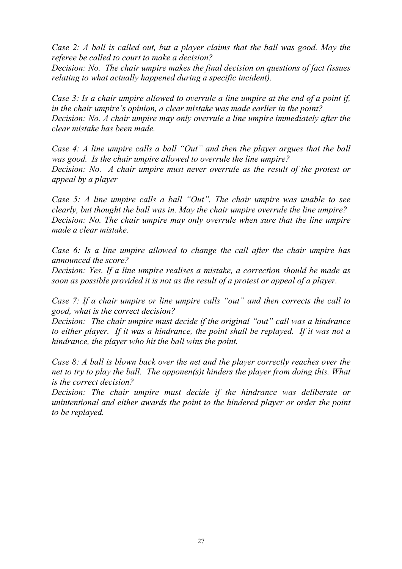*Case 2: A ball is called out, but a player claims that the ball was good. May the referee be called to court to make a decision?* 

*Decision: No. The chair umpire makes the final decision on questions of fact (issues relating to what actually happened during a specific incident).*

*Case 3: Is a chair umpire allowed to overrule a line umpire at the end of a point if, in the chair umpire's opinion, a clear mistake was made earlier in the point? Decision: No. A chair umpire may only overrule a line umpire immediately after the clear mistake has been made.* 

*Case 4: A line umpire calls a ball "Out" and then the player argues that the ball was good. Is the chair umpire allowed to overrule the line umpire? Decision: No. A chair umpire must never overrule as the result of the protest or appeal by a player* 

*Case 5: A line umpire calls a ball "Out". The chair umpire was unable to see clearly, but thought the ball was in. May the chair umpire overrule the line umpire? Decision: No. The chair umpire may only overrule when sure that the line umpire made a clear mistake.* 

*Case 6: Is a line umpire allowed to change the call after the chair umpire has announced the score?* 

*Decision: Yes. If a line umpire realises a mistake, a correction should be made as soon as possible provided it is not as the result of a protest or appeal of a player.* 

*Case 7: If a chair umpire or line umpire calls "out" and then corrects the call to good, what is the correct decision?* 

*Decision: The chair umpire must decide if the original "out" call was a hindrance to either player. If it was a hindrance, the point shall be replayed. If it was not a hindrance, the player who hit the ball wins the point.* 

*Case 8: A ball is blown back over the net and the player correctly reaches over the net to try to play the ball. The opponen(s)t hinders the player from doing this. What is the correct decision?* 

*Decision: The chair umpire must decide if the hindrance was deliberate or unintentional and either awards the point to the hindered player or order the point to be replayed.*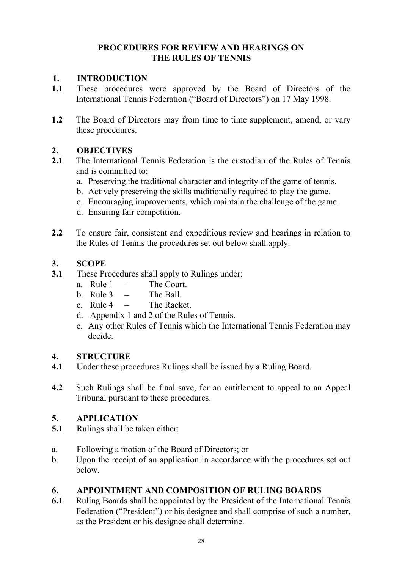### **PROCEDURES FOR REVIEW AND HEARINGS ON THE RULES OF TENNIS**

### **1. INTRODUCTION**

- **1.1** These procedures were approved by the Board of Directors of the International Tennis Federation ("Board of Directors") on 17 May 1998.
- **1.2** The Board of Directors may from time to time supplement, amend, or vary these procedures.

### **2. OBJECTIVES**

- **2.1** The International Tennis Federation is the custodian of the Rules of Tennis and is committed to:
	- a. Preserving the traditional character and integrity of the game of tennis.
	- b. Actively preserving the skills traditionally required to play the game.
	- c. Encouraging improvements, which maintain the challenge of the game.
	- d. Ensuring fair competition.
- **2.2** To ensure fair, consistent and expeditious review and hearings in relation to the Rules of Tennis the procedures set out below shall apply.

### **3. SCOPE**

- **3.1** These Procedures shall apply to Rulings under:
	- a. Rule  $1 -$  The Court.
	- $h$  Rule 3 The Ball
	- c. Rule  $4 -$  The Racket.
	- d. Appendix 1 and 2 of the Rules of Tennis.
	- e. Any other Rules of Tennis which the International Tennis Federation may decide.

#### **4. STRUCTURE**

- **4.1** Under these procedures Rulings shall be issued by a Ruling Board.
- **4.2** Such Rulings shall be final save, for an entitlement to appeal to an Appeal Tribunal pursuant to these procedures.

#### **5. APPLICATION**

- **5.1** Rulings shall be taken either:
- a. Following a motion of the Board of Directors; or
- b. Upon the receipt of an application in accordance with the procedures set out below.

# **6. APPOINTMENT AND COMPOSITION OF RULING BOARDS**

**6.1** Ruling Boards shall be appointed by the President of the International Tennis Federation ("President") or his designee and shall comprise of such a number, as the President or his designee shall determine.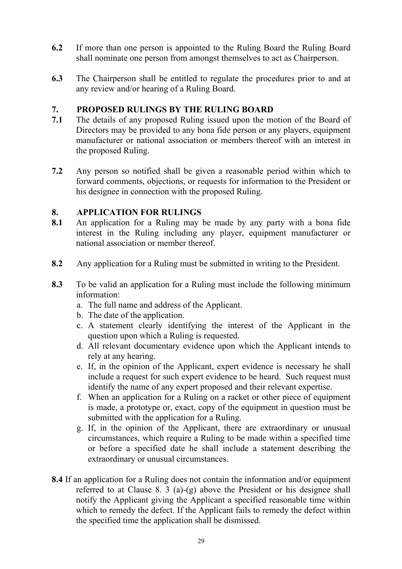- **6.2** If more than one person is appointed to the Ruling Board the Ruling Board shall nominate one person from amongst themselves to act as Chairperson.
- **6.3** The Chairperson shall be entitled to regulate the procedures prior to and at any review and/or hearing of a Ruling Board.

### **7. PROPOSED RULINGS BY THE RULING BOARD**

- **7.1** The details of any proposed Ruling issued upon the motion of the Board of Directors may be provided to any bona fide person or any players, equipment manufacturer or national association or members thereof with an interest in the proposed Ruling.
- **7.2** Any person so notified shall be given a reasonable period within which to forward comments, objections, or requests for information to the President or his designee in connection with the proposed Ruling.

### **8. APPLICATION FOR RULINGS**

- **8.1** An application for a Ruling may be made by any party with a bona fide interest in the Ruling including any player, equipment manufacturer or national association or member thereof.
- **8.2** Any application for a Ruling must be submitted in writing to the President.
- **8.3** To be valid an application for a Ruling must include the following minimum information:
	- a. The full name and address of the Applicant.
	- b. The date of the application.
	- c. A statement clearly identifying the interest of the Applicant in the question upon which a Ruling is requested.
	- d. All relevant documentary evidence upon which the Applicant intends to rely at any hearing.
	- e. If, in the opinion of the Applicant, expert evidence is necessary he shall include a request for such expert evidence to be heard. Such request must identify the name of any expert proposed and their relevant expertise.
	- f. When an application for a Ruling on a racket or other piece of equipment is made, a prototype or, exact, copy of the equipment in question must be submitted with the application for a Ruling.
	- g. If, in the opinion of the Applicant, there are extraordinary or unusual circumstances, which require a Ruling to be made within a specified time or before a specified date he shall include a statement describing the extraordinary or unusual circumstances.
- **8.4** If an application for a Ruling does not contain the information and/or equipment referred to at Clause 8. 3 (a)-(g) above the President or his designee shall notify the Applicant giving the Applicant a specified reasonable time within which to remedy the defect. If the Applicant fails to remedy the defect within the specified time the application shall be dismissed.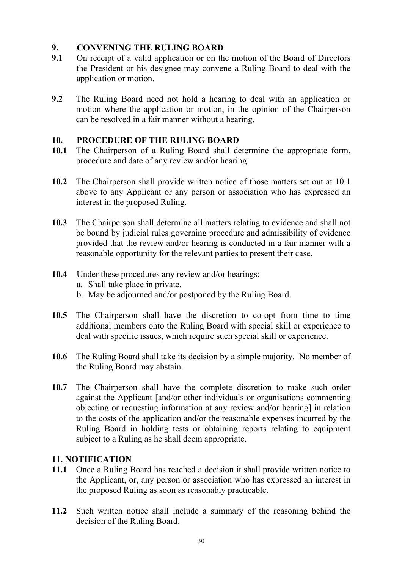## **9. CONVENING THE RULING BOARD**

- **9.1** On receipt of a valid application or on the motion of the Board of Directors the President or his designee may convene a Ruling Board to deal with the application or motion.
- **9.2** The Ruling Board need not hold a hearing to deal with an application or motion where the application or motion, in the opinion of the Chairperson can be resolved in a fair manner without a hearing.

#### **10. PROCEDURE OF THE RULING BOARD**

- **10.1** The Chairperson of a Ruling Board shall determine the appropriate form, procedure and date of any review and/or hearing.
- **10.2** The Chairperson shall provide written notice of those matters set out at 10.1 above to any Applicant or any person or association who has expressed an interest in the proposed Ruling.
- **10.3** The Chairperson shall determine all matters relating to evidence and shall not be bound by judicial rules governing procedure and admissibility of evidence provided that the review and/or hearing is conducted in a fair manner with a reasonable opportunity for the relevant parties to present their case.

### **10.4** Under these procedures any review and/or hearings:

- a. Shall take place in private.
- b. May be adjourned and/or postponed by the Ruling Board.
- **10.5** The Chairperson shall have the discretion to co-opt from time to time additional members onto the Ruling Board with special skill or experience to deal with specific issues, which require such special skill or experience.
- **10.6** The Ruling Board shall take its decision by a simple majority. No member of the Ruling Board may abstain.
- **10.7** The Chairperson shall have the complete discretion to make such order against the Applicant [and/or other individuals or organisations commenting objecting or requesting information at any review and/or hearing] in relation to the costs of the application and/or the reasonable expenses incurred by the Ruling Board in holding tests or obtaining reports relating to equipment subject to a Ruling as he shall deem appropriate.

# **11. NOTIFICATION**

- **11.1** Once a Ruling Board has reached a decision it shall provide written notice to the Applicant, or, any person or association who has expressed an interest in the proposed Ruling as soon as reasonably practicable.
- **11.2** Such written notice shall include a summary of the reasoning behind the decision of the Ruling Board.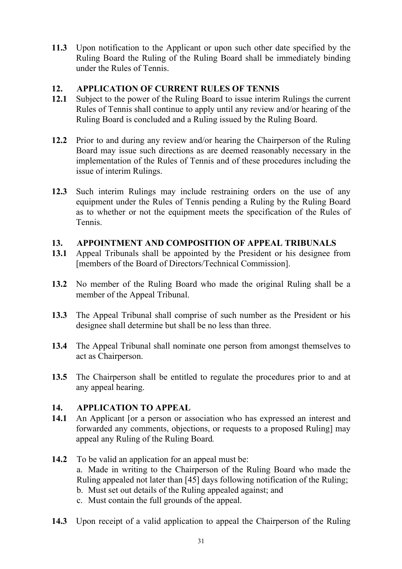**11.3** Upon notification to the Applicant or upon such other date specified by the Ruling Board the Ruling of the Ruling Board shall be immediately binding under the Rules of Tennis.

# **12. APPLICATION OF CURRENT RULES OF TENNIS**

- **12.1** Subject to the power of the Ruling Board to issue interim Rulings the current Rules of Tennis shall continue to apply until any review and/or hearing of the Ruling Board is concluded and a Ruling issued by the Ruling Board.
- **12.2** Prior to and during any review and/or hearing the Chairperson of the Ruling Board may issue such directions as are deemed reasonably necessary in the implementation of the Rules of Tennis and of these procedures including the issue of interim Rulings.
- **12.3** Such interim Rulings may include restraining orders on the use of any equipment under the Rules of Tennis pending a Ruling by the Ruling Board as to whether or not the equipment meets the specification of the Rules of Tennis.

### **13. APPOINTMENT AND COMPOSITION OF APPEAL TRIBUNALS**

- **13.1** Appeal Tribunals shall be appointed by the President or his designee from [members of the Board of Directors/Technical Commission].
- **13.2** No member of the Ruling Board who made the original Ruling shall be a member of the Appeal Tribunal.
- **13.3** The Appeal Tribunal shall comprise of such number as the President or his designee shall determine but shall be no less than three.
- **13.4** The Appeal Tribunal shall nominate one person from amongst themselves to act as Chairperson.
- **13.5** The Chairperson shall be entitled to regulate the procedures prior to and at any appeal hearing.

#### **14. APPLICATION TO APPEAL**

- **14.1** An Applicant [or a person or association who has expressed an interest and forwarded any comments, objections, or requests to a proposed Ruling] may appeal any Ruling of the Ruling Board*.*
- **14.2** To be valid an application for an appeal must be:

a. Made in writing to the Chairperson of the Ruling Board who made the Ruling appealed not later than [45] days following notification of the Ruling;

- b. Must set out details of the Ruling appealed against; and
- c. Must contain the full grounds of the appeal.
- **14.3** Upon receipt of a valid application to appeal the Chairperson of the Ruling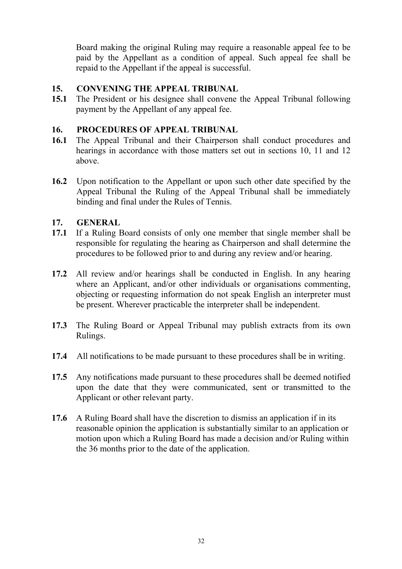Board making the original Ruling may require a reasonable appeal fee to be paid by the Appellant as a condition of appeal. Such appeal fee shall be repaid to the Appellant if the appeal is successful.

## **15. CONVENING THE APPEAL TRIBUNAL**

**15.1** The President or his designee shall convene the Appeal Tribunal following payment by the Appellant of any appeal fee.

### **16. PROCEDURES OF APPEAL TRIBUNAL**

- **16.1** The Appeal Tribunal and their Chairperson shall conduct procedures and hearings in accordance with those matters set out in sections 10, 11 and 12 above.
- **16.2** Upon notification to the Appellant or upon such other date specified by the Appeal Tribunal the Ruling of the Appeal Tribunal shall be immediately binding and final under the Rules of Tennis.

### **17. GENERAL**

- **17.1** If a Ruling Board consists of only one member that single member shall be responsible for regulating the hearing as Chairperson and shall determine the procedures to be followed prior to and during any review and/or hearing.
- **17.2** All review and/or hearings shall be conducted in English. In any hearing where an Applicant, and/or other individuals or organisations commenting, objecting or requesting information do not speak English an interpreter must be present. Wherever practicable the interpreter shall be independent.
- **17.3** The Ruling Board or Appeal Tribunal may publish extracts from its own Rulings.
- **17.4** All notifications to be made pursuant to these procedures shall be in writing.
- **17.5** Any notifications made pursuant to these procedures shall be deemed notified upon the date that they were communicated, sent or transmitted to the Applicant or other relevant party.
- **17.6** A Ruling Board shall have the discretion to dismiss an application if in its reasonable opinion the application is substantially similar to an application or motion upon which a Ruling Board has made a decision and/or Ruling within the 36 months prior to the date of the application.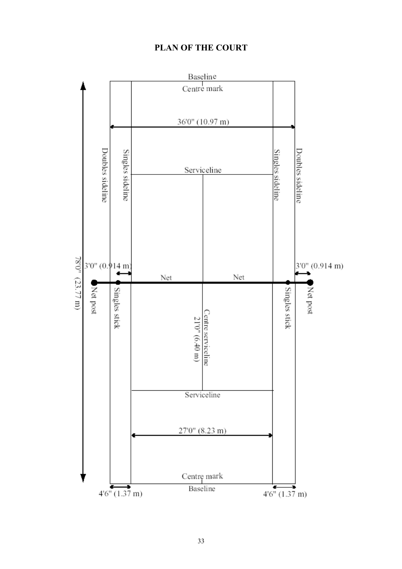# **PLAN OF THE COURT**

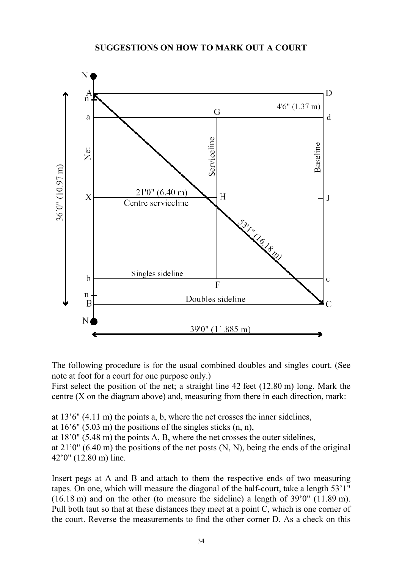#### **SUGGESTIONS ON HOW TO MARK OUT A COURT**



The following procedure is for the usual combined doubles and singles court. (See note at foot for a court for one purpose only.)

First select the position of the net; a straight line 42 feet (12.80 m) long. Mark the centre (X on the diagram above) and, measuring from there in each direction, mark:

at 13'6" (4.11 m) the points a, b, where the net crosses the inner sidelines,

at  $16'6''$  (5.03 m) the positions of the singles sticks  $(n, n)$ ,

at 18'0" (5.48 m) the points A, B, where the net crosses the outer sidelines,

at 21'0" (6.40 m) the positions of the net posts (N, N), being the ends of the original 42'0" (12.80 m) line.

Insert pegs at A and B and attach to them the respective ends of two measuring tapes. On one, which will measure the diagonal of the half-court, take a length 53'1" (16.18 m) and on the other (to measure the sideline) a length of 39'0" (11.89 m). Pull both taut so that at these distances they meet at a point C, which is one corner of the court. Reverse the measurements to find the other corner D. As a check on this